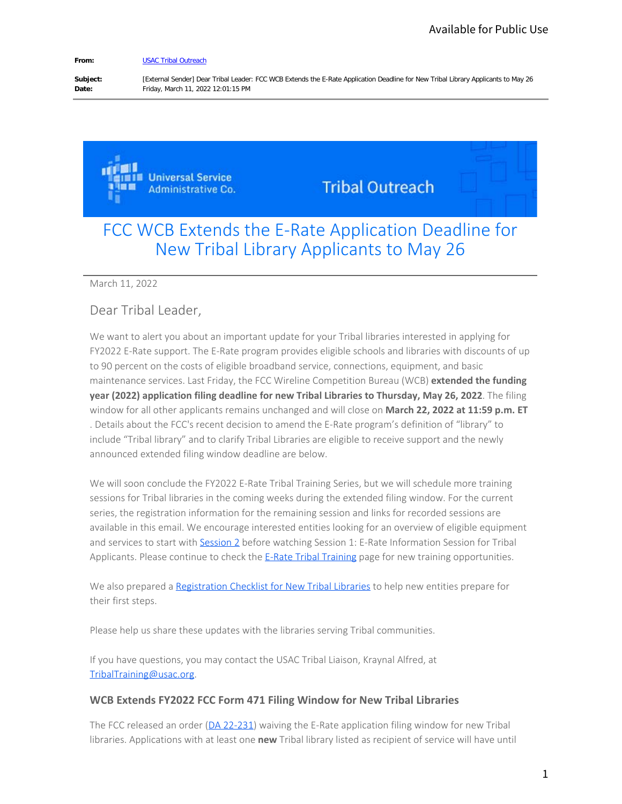#### **From:** [USAC Tribal Outreach](mailto:reply-febf117371670d75-9864_HTML-175790173-100024807-0@outreach.usac.org)

Subject: [External Sender] Dear Tribal Leader: FCC WCB Extends the E-Rate Application Deadline for New Tribal Library Applicants to May 26<br> **Date:** Friday, March 11, 2022 12:01:15 PM **Date:** Friday, March 11, 2022 12:01:15 PM

> **Universal Service Administrative Co.**

**Tribal Outreach** 

## FCC WCB Extends the E-Rate Application Deadline for New Tribal Library Applicants to May 26

#### March 11, 2022

## Dear Tribal Leader,

We want to alert you about an important update for your Tribal libraries interested in applying for FY2022 E-Rate support. The E-Rate program provides eligible schools and libraries with discounts of up to 90 percent on the costs of eligible broadband service, connections, equipment, and basic maintenance services. Last Friday, the FCC Wireline Competition Bureau (WCB) **extended the funding year (2022) application filing deadline for new Tribal Libraries to Thursday, May 26, 2022**. The filing window for all other applicants remains unchanged and will close on **March 22, 2022 at 11:59 p.m. ET**  . Details about the FCC's recent decision to amend the E-Rate program's definition of "library" to include "Tribal library" and to clarify Tribal Libraries are eligible to receive support and the newly announced extended filing window deadline are below. Available for Public Use<br>
Tribal Library Applicants to May 26<br>
Tribal Library Applicants to May 26<br>
Deadline for<br>
W 26<br>
Allex with discounts of up<br>
Int, and basic<br>
extended the funding<br>
12022 at 11:59 p.m. ET<br>
ion of "libr

We will soon conclude the FY2022 E-Rate Tribal Training Series, but we will schedule more training sessions for Tribal libraries in the coming weeks during the extended filing window. For the current series, the registration information for the remaining session and links for recorded sessions are available in this email. We encourage interested entities looking for an overview of eligible equipment and services to start with [Session 2](https://register.gotowebinar.com/register/4302811632621239312) before watching Session 1: E-Rate Information Session for Tribal Applicants. Please continue to check the [E-Rate Tribal Training](https://www.usac.org/e-rate/learn/tribal-training/) page for new training opportunities.

We also prepared a [Registration Checklist for New Tribal Libraries](https://www.usac.org/e-rate_program_registraton_list_for_new_tribal_libraries/) to help new entities prepare for their first steps.

Please help us share these updates with the libraries serving Tribal communities.

If you have questions, you may contact the USAC Tribal Liaison, Kraynal Alfred, at [TribalTraining@usac.org](https://click.outreach.usac.org/?qs=ae7b621237eeea13eeee6427fc742db9d27f7379bc28b7c9aafd4ff429bc7600b49f9de79911a5bac391bfc4f2b10786c310a50021700535).

### **WCB Extends FY2022 FCC Form 471 Filing Window for New Tribal Libraries**

The FCC released an order [\(DA 22-231](http://www.fcc.gov/document/wcb-waives-fy2022-e-rate-application-deadline-new-tribal-libraries)) waiving the E-Rate application filing window for new Tribal libraries. Applications with at least one **new** Tribal library listed as recipient of service will have until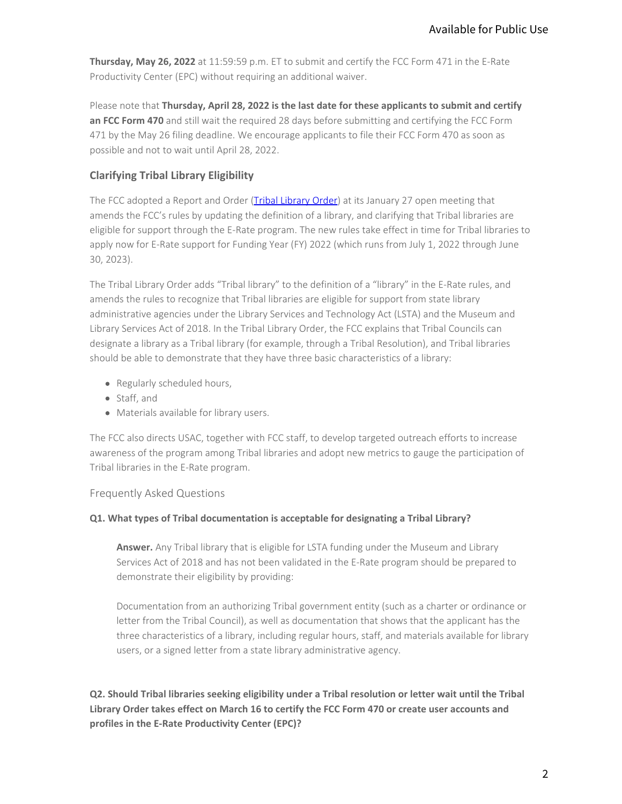**Thursday, May 26, 2022** at 11:59:59 p.m. ET to submit and certify the FCC Form 471 in the E-Rate Productivity Center (EPC) without requiring an additional waiver.

Please note that **Thursday, April 28, 2022 is the last date for these applicants to submit and certify an FCC Form 470** and still wait the required 28 days before submitting and certifying the FCC Form 471 by the May 26 filing deadline. We encourage applicants to file their FCC Form 470 as soon as possible and not to wait until April 28, 2022.

## **Clarifying Tribal Library Eligibility**

The FCC adopted a Report and Order [\(Tribal Library Order](https://docs.fcc.gov/public/attachments/FCC-22-8A1.pdf)) at its January 27 open meeting that amends the FCC's rules by updating the definition of a library, and clarifying that Tribal libraries are eligible for support through the E-Rate program. The new rules take effect in time for Tribal libraries to apply now for E-Rate support for Funding Year (FY) 2022 (which runs from July 1, 2022 through June 30, 2023).

The Tribal Library Order adds "Tribal library" to the definition of a "library" in the E-Rate rules, and amends the rules to recognize that Tribal libraries are eligible for support from state library administrative agencies under the Library Services and Technology Act (LSTA) and the Museum and Library Services Act of 2018. In the Tribal Library Order, the FCC explains that Tribal Councils can designate a library as a Tribal library (for example, through a Tribal Resolution), and Tribal libraries should be able to demonstrate that they have three basic characteristics of a library: Available for Public Use<br>
n 471 in the E-Rate<br>
to submit and certify<br>
ifying the FCC Form<br>
m 470 as soon as<br>
en meeting that<br>
t Tribal libraries are<br>
me for Tribal libraries to<br>
ne for Tribal libraries to<br>
1, 2022 through

- Regularly scheduled hours,
- Staff, and
- Materials available for library users.

The FCC also directs USAC, together with FCC staff, to develop targeted outreach efforts to increase awareness of the program among Tribal libraries and adopt new metrics to gauge the participation of Tribal libraries in the E-Rate program.

### Frequently Asked Questions

### **Q1. What types of Tribal documentation is acceptable for designating a Tribal Library?**

**Answer.** Any Tribal library that is eligible for LSTA funding under the Museum and Library Services Act of 2018 and has not been validated in the E-Rate program should be prepared to demonstrate their eligibility by providing:

Documentation from an authorizing Tribal government entity (such as a charter or ordinance or letter from the Tribal Council), as well as documentation that shows that the applicant has the three characteristics of a library, including regular hours, staff, and materials available for library users, or a signed letter from a state library administrative agency.

**Q2. Should Tribal libraries seeking eligibility under a Tribal resolution or letter wait until the Tribal Library Order takes effect on March 16 to certify the FCC Form 470 or create user accounts and profiles in the E-Rate Productivity Center (EPC)?**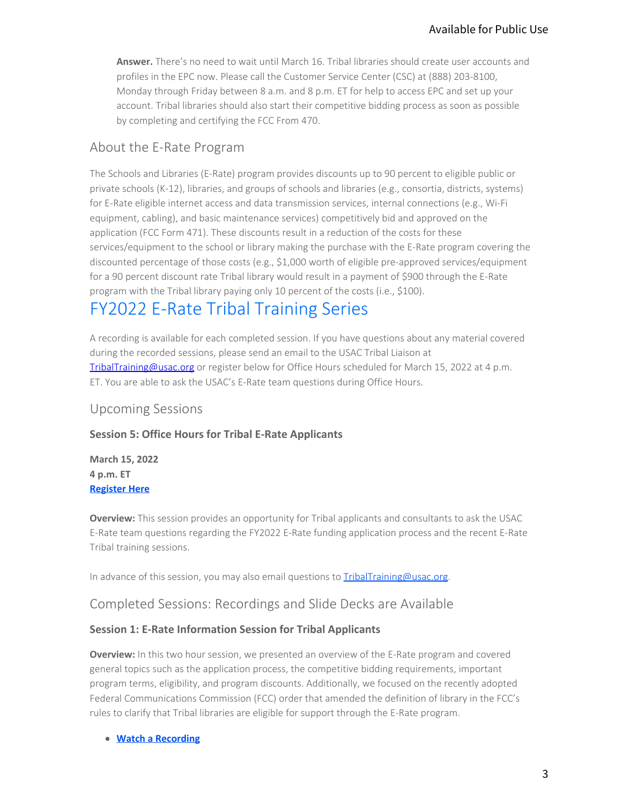**Answer.** There's no need to wait until March 16. Tribal libraries should create user accounts and profiles in the EPC now. Please call the Customer Service Center (CSC) at (888) 203-8100, Monday through Friday between 8 a.m. and 8 p.m. ET for help to access EPC and set up your account. Tribal libraries should also start their competitive bidding process as soon as possible by completing and certifying the FCC From 470.

## About the E-Rate Program

The Schools and Libraries (E-Rate) program provides discounts up to 90 percent to eligible public or private schools (K-12), libraries, and groups of schools and libraries (e.g., consortia, districts, systems) for E-Rate eligible internet access and data transmission services, internal connections (e.g., Wi-Fi equipment, cabling), and basic maintenance services) competitively bid and approved on the application (FCC Form 471). These discounts result in a reduction of the costs for these services/equipment to the school or library making the purchase with the E-Rate program covering the discounted percentage of those costs (e.g., \$1,000 worth of eligible pre-approved services/equipment for a 90 percent discount rate Tribal library would result in a payment of \$900 through the E-Rate program with the Tribal library paying only 10 percent of the costs (i.e., \$100). Available for Public Use<br>
eate user accounts and<br>
(888) 203-8100,<br>
EPC and set up your<br>
EPC and set up your<br>
ss as soon as possible<br>
ertia, districts, systems)<br>
ections (e.g., Wi-Fi<br>
proved on the<br>
or these<br>
e program cove

# FY2022 E-Rate Tribal Training Series

A recording is available for each completed session. If you have questions about any material covered during the recorded sessions, please send an email to the USAC Tribal Liaison at [TribalTraining@usac.org](mailto:TribalTraining@usac.org?subject=) or register below for Office Hours scheduled for March 15, 2022 at 4 p.m. ET. You are able to ask the USAC's E-Rate team questions during Office Hours.

## Upcoming Sessions

## **Session 5: Office Hours for Tribal E-Rate Applicants**

**March 15, 2022 4 p.m. ET [Register Here](https://register.gotowebinar.com/register/5627670367484297742)** 

**Overview:** This session provides an opportunity for Tribal applicants and consultants to ask the USAC E-Rate team questions regarding the FY2022 E-Rate funding application process and the recent E-Rate Tribal training sessions.

In advance of this session, you may also email questions to [TribalTraining@usac.org](mailto:TribalTraining@usac.org?subject=).

## Completed Sessions: Recordings and Slide Decks are Available

## **Session 1: E-Rate Information Session for Tribal Applicants**

**Overview:** In this two hour session, we presented an overview of the E-Rate program and covered general topics such as the application process, the competitive bidding requirements, important program terms, eligibility, and program discounts. Additionally, we focused on the recently adopted Federal Communications Commission (FCC) order that amended the definition of library in the FCC's rules to clarify that Tribal libraries are eligible for support through the E-Rate program.

### **[Watch a Recording](https://attendee.gotowebinar.com/register/5424847855487992844)**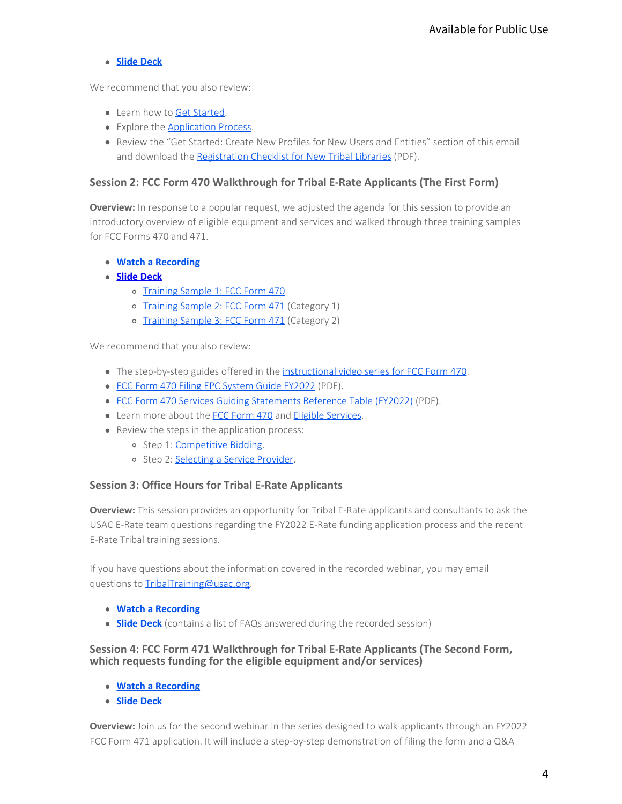## **[Slide Deck](https://www.usac.org/e-rate_tribal_training_info_session_feb_3_2022/)**

We recommend that you also review:

- Learn how to [Get Started](https://www.usac.org/e-rate/get-started/).
- Explore the **Application Process**.
- Review the "Get Started: Create New Profiles for New Users and Entities" section of this email and download the [Registration Checklist for New Tribal Libraries](https://www.usac.org/e-rate_program_registraton_list_for_new_tribal_libraries/) (PDF).

## **Session 2: FCC Form 470 Walkthrough for Tribal E-Rate Applicants (The First Form)**

**Overview:** In response to a popular request, we adjusted the agenda for this session to provide an introductory overview of eligible equipment and services and walked through three training samples for FCC Forms 470 and 471.

- **[Watch a Recording](https://register.gotowebinar.com/register/4302811632621239312)**
- **[Slide Deck](https://www.usac.org/wp-content/uploads/e-rate/documents/tribal/FY2022/FINAL_FCC-Form-470-Walkthrough_Tribal_Training_E-Rate.pdf)** 
	- o [Training Sample 1: FCC Form 470](https://www.usac.org/wp-content/uploads/e-rate/documents/tribal/FY2022/Training_Sample_1_FCC_FORM_470.pdf)
	- o [Training Sample 2: FCC Form 471](https://www.usac.org/wp-content/uploads/e-rate/documents/tribal/FY2022/Training_Sample_2_FCC_FORM_471.pdf) (Category 1)
	- o [Training Sample 3: FCC Form 471](https://www.usac.org/wp-content/uploads/e-rate/documents/tribal/FY2022/Training_Sample_3_FCC_FORM_471.pdf) (Category 2)

We recommend that you also review:

- The step-by-step guides offered in the [instructional video series for FCC Form 470](https://www.usac.org/e-rate/learn/videos/#FCC-Form-470-and-Competitive-Bidding).
- [FCC Form 470 Filing EPC System Guide FY2022](https://www.usac.org/wp-content/uploads/e-rate/documents/Forms/FCC_Form_470_Filing_FY2022.pdf) (PDF).
- [FCC Form 470 Services Guiding Statements Reference Table \(FY2022\)](https://www.usac.org/wp-content/uploads/e-rate/documents/Forms/FCC_Form_470_Guiding_Statements_Table_FY22.pdf) (PDF).
- Learn more about the [FCC Form 470](https://www.usac.org/e-rate/applicant-process/competitive-bidding/fcc-form-470-filing/) and [Eligible Services](https://www.usac.org/e-rate/applicant-process/before-you-begin/eligible-services-overview/).
- Review the steps in the application process:
	- o Step 1: [Competitive Bidding](https://www.usac.org/e-rate/applicant-process/competitive-bidding/).
	- o Step 2: [Selecting a Service Provider.](https://www.usac.org/e-rate/applicant-process/selecting-service-providers/)

## **Session 3: Office Hours for Tribal E-Rate Applicants**

**Overview:** This session provides an opportunity for Tribal E-Rate applicants and consultants to ask the USAC E-Rate team questions regarding the FY2022 E-Rate funding application process and the recent E-Rate Tribal training sessions. Available for Public Use<br>
"section of this email<br>
the First Form)<br>
ssion to provide an<br>
three training samples<br>
The training samples<br>
"<br>
F).<br>
F).<br>
I consultants to ask the<br>
rocess and the recent<br>
"<br>
you may email<br>
"<br>
)<br>
he

If you have questions about the information covered in the recorded webinar, you may email questions to [TribalTraining@usac.org.](mailto:TribalTraining@usac.org?subject=)

- **[Watch a Recording](https://register.gotowebinar.com/register/486584893445502475)**
- **Slide Deck** (contains a list of FAQs answered during the recorded session)

## **Session 4: FCC Form 471 Walkthrough for Tribal E-Rate Applicants (The Second Form, which requests funding for the eligible equipment and/or services)**

- **[Watch a Recording](https://register.gotowebinar.com/register/5424847855487992844)**
- **[Slide Deck](https://www.usac.org/wp-content/uploads/e-rate/documents/tribal/FY2022/Session_4_FCC_Form_471_Tribal_Training_E_Rate.pdf)**

**Overview:** Join us for the second webinar in the series designed to walk applicants through an FY2022 FCC Form 471 application. It will include a step-by-step demonstration of filing the form and a Q&A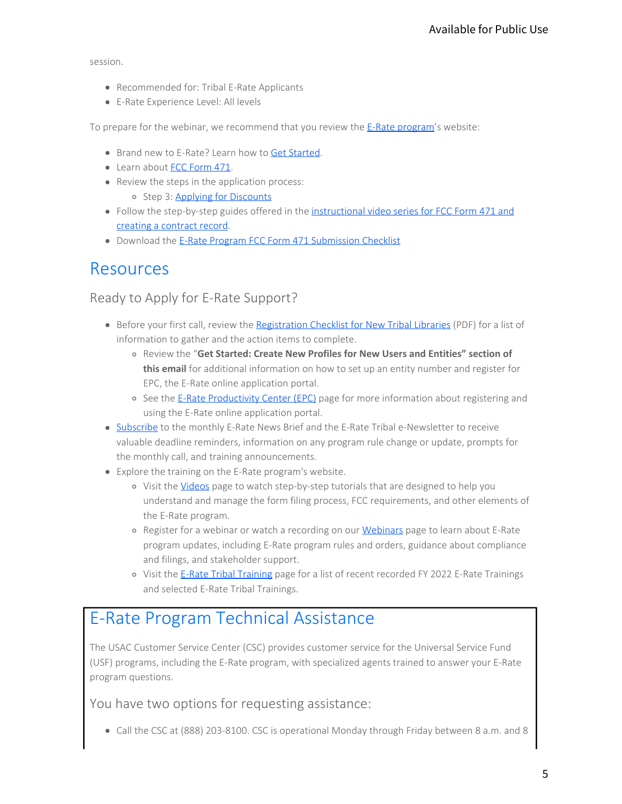session.

- Recommended for: Tribal E-Rate Applicants
- E-Rate Experience Level: All levels

To prepare for the webinar, we recommend that you review the [E-Rate program](https://www.usac.org/e-rate/)'s website:

- Brand new to E-Rate? Learn how to [Get Started](https://www.usac.org/e-rate/get-started/).
- Learn about [FCC Form 471](https://www.usac.org/e-rate/applicant-process/applying-for-discounts/fcc-form-471-filing/).
- Review the steps in the application process:
	- o Step 3: Applying for Discounts
- Follow the step-by-step guides offered in the [instructional video series for FCC Form 471 and](https://www.usac.org/e-rate/learn/videos/#FCC-Form-471) [creating a contract record](https://www.usac.org/e-rate/learn/videos/#FCC-Form-471).
- Download the [E-Rate Program FCC Form 471 Submission Checklist](https://www.usac.org/wp-content/uploads/e-rate/documents/tribal/FY2022/E-Rate_Program_FCC_Form_471_Submission_Checklist.pdf)

## Resources

## Ready to Apply for E-Rate Support?

- **Before your first call, review the [Registration Checklist for New Tribal Libraries](https://www.usac.org/wp-content/uploads/e-rate/documents/tribal/FY2022/E-Rate_Program_Registraton_List_for_New_Tribal_Libraries.pdf) (PDF) for a list of** information to gather and the action items to complete.
	- Review the "**Get Started: Create New Profiles for New Users and Entities" section of this email** for additional information on how to set up an entity number and register for EPC, the E-Rate online application portal.
	- o See the [E-Rate Productivity Center \(EPC\)](https://www.usac.org/e-rate/resources/e-rate-productivity-center/) page for more information about registering and using the E-Rate online application portal.
- [Subscribe](https://fe391570756406797d1477.pub.s10.sfmc-content.com/3n2usens2cz) to the monthly E-Rate News Brief and the E-Rate Tribal e-Newsletter to receive valuable deadline reminders, information on any program rule change or update, prompts for the monthly call, and training announcements.
- Explore the training on the E-Rate program's website.
- o Visit the [Videos](https://www.usac.org/e-rate/learn/videos/) page to watch step-by-step tutorials that are designed to help you understand and manage the form filing process, FCC requirements, and other elements of the E-Rate program. Available for Public Use<br>
The Sove State:<br>
The Sove State:<br>
The Sove State:<br>
The Sove State:<br>
The Sove State:<br>
The Sove State:<br>
The Sove State:<br>
The Sove State:<br>
The Sove State:<br>
The Sove State:<br>
The Sove State:<br>
The Sove
	- o Register for a webinar or watch a recording on our [Webinars](https://www.usac.org/e-rate/learn/webinars/) page to learn about E-Rate program updates, including E-Rate program rules and orders, guidance about compliance and filings, and stakeholder support.
	- o Visit the [E-Rate Tribal Training](https://www.usac.org/e-rate/learn/tribal-training/) page for a list of recent recorded FY 2022 E-Rate Trainings and selected E-Rate Tribal Trainings.

# E-Rate Program Technical Assistance

The USAC Customer Service Center (CSC) provides customer service for the Universal Service Fund (USF) programs, including the E-Rate program, with specialized agents trained to answer your E-Rate program questions.

You have two options for requesting assistance:

Call the CSC at (888) 203-8100. CSC is operational Monday through Friday between 8 a.m. and 8